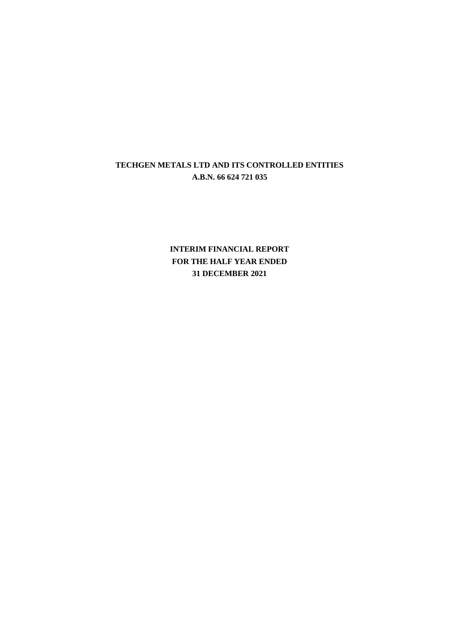**INTERIM FINANCIAL REPORT FOR THE HALF YEAR ENDED 31 DECEMBER 2021**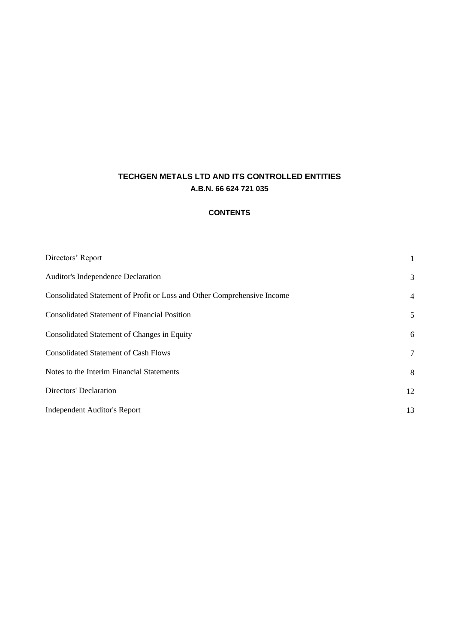## **CONTENTS**

| Directors' Report                                                       | 1  |
|-------------------------------------------------------------------------|----|
| Auditor's Independence Declaration                                      | 3  |
| Consolidated Statement of Profit or Loss and Other Comprehensive Income | 4  |
| <b>Consolidated Statement of Financial Position</b>                     | 5  |
| Consolidated Statement of Changes in Equity                             | 6  |
| <b>Consolidated Statement of Cash Flows</b>                             | 7  |
| Notes to the Interim Financial Statements                               | 8  |
| <b>Directors' Declaration</b>                                           | 12 |
| <b>Independent Auditor's Report</b>                                     | 13 |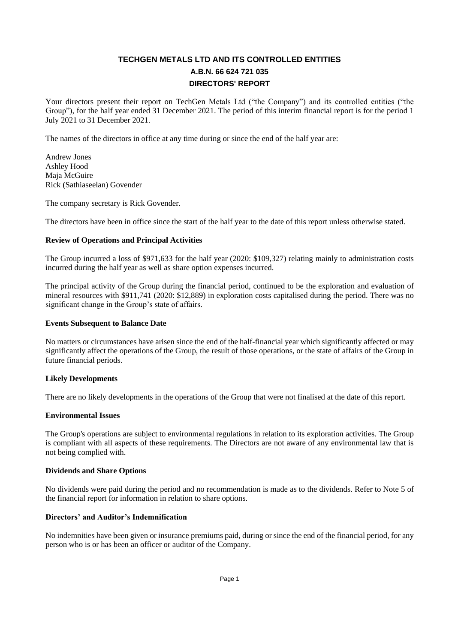# **TECHGEN METALS LTD AND ITS CONTROLLED ENTITIES A.B.N. 66 624 721 035 DIRECTORS' REPORT**

Your directors present their report on TechGen Metals Ltd ("the Company") and its controlled entities ("the Group"), for the half year ended 31 December 2021. The period of this interim financial report is for the period 1 July 2021 to 31 December 2021.

The names of the directors in office at any time during or since the end of the half year are:

Andrew Jones Ashley Hood Maja McGuire Rick (Sathiaseelan) Govender

The company secretary is Rick Govender.

The directors have been in office since the start of the half year to the date of this report unless otherwise stated.

### **Review of Operations and Principal Activities**

The Group incurred a loss of \$971,633 for the half year (2020: \$109,327) relating mainly to administration costs incurred during the half year as well as share option expenses incurred.

The principal activity of the Group during the financial period, continued to be the exploration and evaluation of mineral resources with \$911,741 (2020: \$12,889) in exploration costs capitalised during the period. There was no significant change in the Group's state of affairs.

### **Events Subsequent to Balance Date**

No matters or circumstances have arisen since the end of the half-financial year which significantly affected or may significantly affect the operations of the Group, the result of those operations, or the state of affairs of the Group in future financial periods.

### **Likely Developments**

There are no likely developments in the operations of the Group that were not finalised at the date of this report.

### **Environmental Issues**

The Group's operations are subject to environmental regulations in relation to its exploration activities. The Group is compliant with all aspects of these requirements. The Directors are not aware of any environmental law that is not being complied with.

### **Dividends and Share Options**

No dividends were paid during the period and no recommendation is made as to the dividends. Refer to Note 5 of the financial report for information in relation to share options.

### **Directors' and Auditor's Indemnification**

No indemnities have been given or insurance premiums paid, during or since the end of the financial period, for any person who is or has been an officer or auditor of the Company.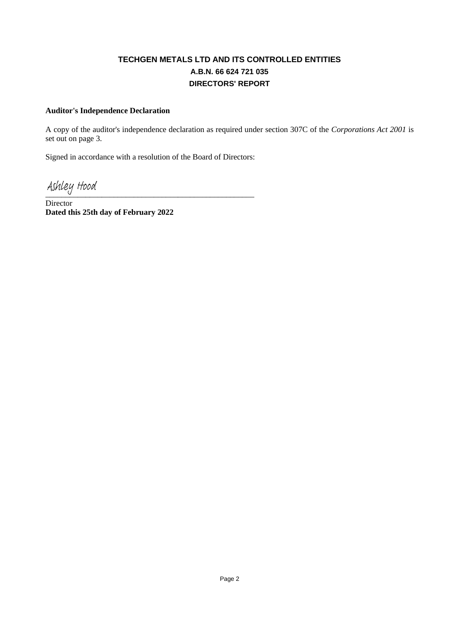# **TECHGEN METALS LTD AND ITS CONTROLLED ENTITIES A.B.N. 66 624 721 035 DIRECTORS' REPORT**

### **Auditor's Independence Declaration**

A copy of the auditor's independence declaration as required under section 307C of the *Corporations Act 2001* is set out on page 3.

Signed in accordance with a resolution of the Board of Directors:

Ashley Hood

Director **Dated this 25th day of February 2022**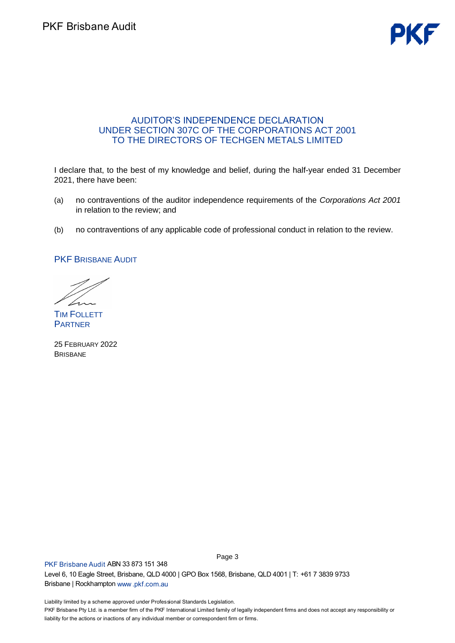# AUDITOR'S INDEPENDENCE DECLARATION UNDER SECTION 307C OF THE CORPORATIONS ACT 2001 TO THE DIRECTORS OF TECHGEN METALS LIMITED

I declare that, to the best of my knowledge and belief, during the half-year ended 31 December 2021, there have been:

- (a) no contraventions of the auditor independence requirements of the *Corporations Act 2001* in relation to the review; and
- (b) no contraventions of any applicable code of professional conduct in relation to the review.

PKF BRISBANE AUDIT

TIM FOLLETT **PARTNER** 

25 FEBRUARY 2022 BRISBANE

P L B Page 3

L P liability for the actions or inactions of any individual member or correspondent firm or firms.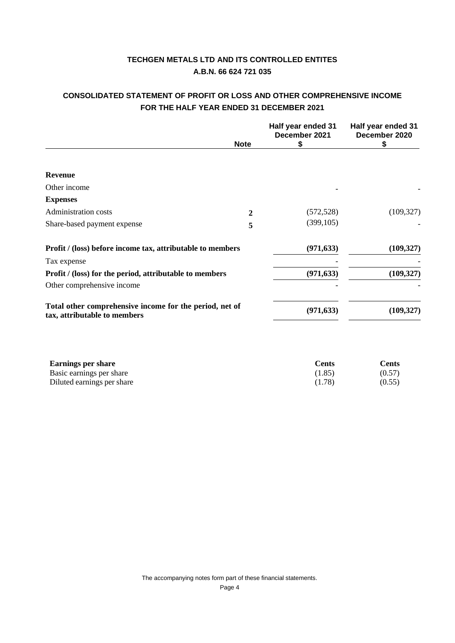# **CONSOLIDATED STATEMENT OF PROFIT OR LOSS AND OTHER COMPREHENSIVE INCOME FOR THE HALF YEAR ENDED 31 DECEMBER 2021**

|                                                                                         |             | Half year ended 31<br>December 2021 | Half year ended 31<br>December 2020 |
|-----------------------------------------------------------------------------------------|-------------|-------------------------------------|-------------------------------------|
|                                                                                         | <b>Note</b> | \$                                  | \$                                  |
|                                                                                         |             |                                     |                                     |
| Revenue                                                                                 |             |                                     |                                     |
| Other income                                                                            |             |                                     |                                     |
| <b>Expenses</b>                                                                         |             |                                     |                                     |
| Administration costs                                                                    | 2           | (572, 528)                          | (109, 327)                          |
| Share-based payment expense                                                             | 5           | (399, 105)                          |                                     |
| Profit / (loss) before income tax, attributable to members                              |             | (971, 633)                          | (109, 327)                          |
| Tax expense                                                                             |             |                                     |                                     |
| <b>Profit</b> / (loss) for the period, attributable to members                          |             | (971, 633)                          | (109, 327)                          |
| Other comprehensive income                                                              |             |                                     |                                     |
| Total other comprehensive income for the period, net of<br>tax, attributable to members |             | (971, 633)                          | (109, 327)                          |

| <b>Earnings per share</b>  | Cents  | Cents  |
|----------------------------|--------|--------|
| Basic earnings per share   | (1.85) | (0.57) |
| Diluted earnings per share | (1.78) | (0.55) |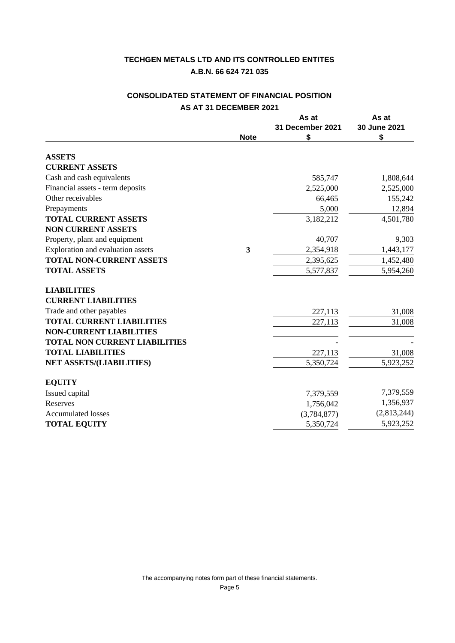# **CONSOLIDATED STATEMENT OF FINANCIAL POSITION AS AT 31 DECEMBER 2021**

|                                      |             | As at            | As at        |
|--------------------------------------|-------------|------------------|--------------|
|                                      |             | 31 December 2021 | 30 June 2021 |
|                                      | <b>Note</b> | \$               | \$           |
| <b>ASSETS</b>                        |             |                  |              |
| <b>CURRENT ASSETS</b>                |             |                  |              |
| Cash and cash equivalents            |             | 585,747          | 1,808,644    |
| Financial assets - term deposits     |             | 2,525,000        | 2,525,000    |
| Other receivables                    |             | 66,465           | 155,242      |
| Prepayments                          |             | 5,000            | 12,894       |
| <b>TOTAL CURRENT ASSETS</b>          |             | 3,182,212        | 4,501,780    |
| <b>NON CURRENT ASSETS</b>            |             |                  |              |
| Property, plant and equipment        |             | 40,707           | 9,303        |
| Exploration and evaluation assets    | 3           | 2,354,918        | 1,443,177    |
| <b>TOTAL NON-CURRENT ASSETS</b>      |             | 2,395,625        | 1,452,480    |
| <b>TOTAL ASSETS</b>                  |             | 5,577,837        | 5,954,260    |
| <b>LIABILITIES</b>                   |             |                  |              |
| <b>CURRENT LIABILITIES</b>           |             |                  |              |
| Trade and other payables             |             | 227,113          | 31,008       |
| <b>TOTAL CURRENT LIABILITIES</b>     |             | 227,113          | 31,008       |
| <b>NON-CURRENT LIABILITIES</b>       |             |                  |              |
| <b>TOTAL NON CURRENT LIABILITIES</b> |             |                  |              |
| <b>TOTAL LIABILITIES</b>             |             | 227,113          | 31,008       |
| <b>NET ASSETS/(LIABILITIES)</b>      |             | 5,350,724        | 5,923,252    |
| <b>EQUITY</b>                        |             |                  |              |
| Issued capital                       |             | 7,379,559        | 7,379,559    |
| Reserves                             |             | 1,756,042        | 1,356,937    |
| <b>Accumulated losses</b>            |             | (3,784,877)      | (2,813,244)  |
| <b>TOTAL EQUITY</b>                  |             | 5,350,724        | 5,923,252    |
|                                      |             |                  |              |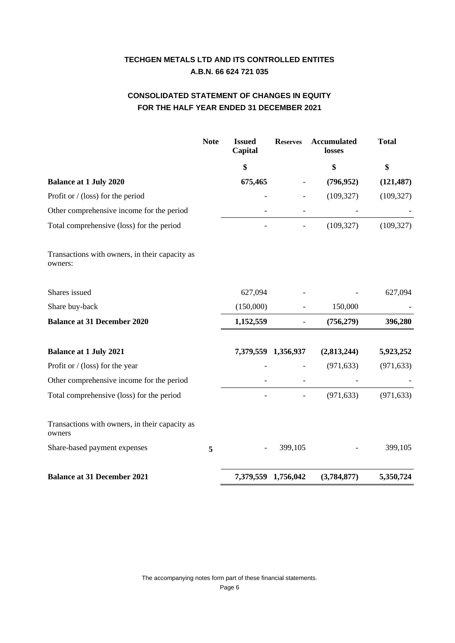# **CONSOLIDATED STATEMENT OF CHANGES IN EQUITY FOR THE HALF YEAR ENDED 31 DECEMBER 2021**

|                                                           | <b>Note</b> | <b>Issued</b><br>Capital | <b>Reserves</b> | <b>Accumulated</b><br>losses | <b>Total</b> |
|-----------------------------------------------------------|-------------|--------------------------|-----------------|------------------------------|--------------|
|                                                           |             | \$                       |                 | \$                           | \$           |
| <b>Balance at 1 July 2020</b>                             |             | 675,465                  |                 | (796, 952)                   | (121, 487)   |
| Profit or $/$ (loss) for the period                       |             |                          |                 | (109, 327)                   | (109, 327)   |
| Other comprehensive income for the period                 |             |                          |                 |                              |              |
| Total comprehensive (loss) for the period                 |             |                          |                 | (109, 327)                   | (109, 327)   |
| Transactions with owners, in their capacity as<br>owners: |             |                          |                 |                              |              |
| Shares issued                                             |             | 627,094                  |                 |                              | 627,094      |
| Share buy-back                                            |             | (150,000)                |                 | 150,000                      |              |
| <b>Balance at 31 December 2020</b>                        |             | 1,152,559                | -               | (756, 279)                   | 396,280      |
| <b>Balance at 1 July 2021</b>                             |             | 7,379,559                | 1,356,937       | (2,813,244)                  | 5,923,252    |
| Profit or $/$ (loss) for the year                         |             |                          |                 | (971, 633)                   | (971, 633)   |
| Other comprehensive income for the period                 |             |                          |                 |                              |              |
| Total comprehensive (loss) for the period                 |             |                          |                 | (971, 633)                   | (971, 633)   |
| Transactions with owners, in their capacity as<br>owners  |             |                          |                 |                              |              |
| Share-based payment expenses                              | 5           |                          | 399,105         |                              | 399,105      |
| <b>Balance at 31 December 2021</b>                        |             | 7,379,559 1,756,042      |                 | (3,784,877)                  | 5,350,724    |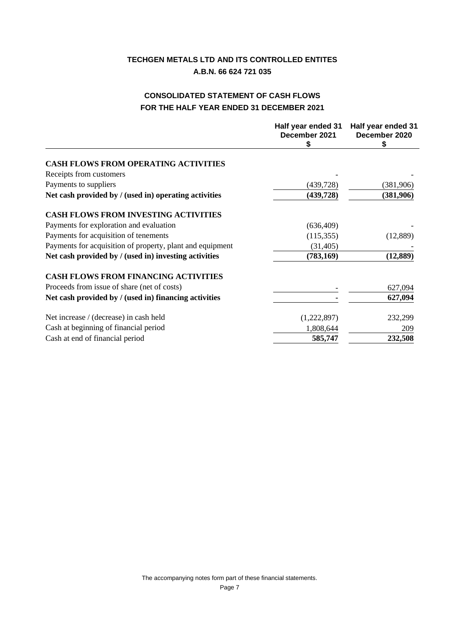# **CONSOLIDATED STATEMENT OF CASH FLOWS FOR THE HALF YEAR ENDED 31 DECEMBER 2021**

|                                                           | Half year ended 31<br>December 2021<br>\$ | Half year ended 31<br>December 2020<br>\$ |
|-----------------------------------------------------------|-------------------------------------------|-------------------------------------------|
|                                                           |                                           |                                           |
| <b>CASH FLOWS FROM OPERATING ACTIVITIES</b>               |                                           |                                           |
| Receipts from customers                                   |                                           |                                           |
| Payments to suppliers                                     | (439, 728)                                | (381,906)                                 |
| Net cash provided by / (used in) operating activities     | (439, 728)                                | (381,906)                                 |
| <b>CASH FLOWS FROM INVESTING ACTIVITIES</b>               |                                           |                                           |
| Payments for exploration and evaluation                   | (636, 409)                                |                                           |
| Payments for acquisition of tenements                     | (115, 355)                                | (12,889)                                  |
| Payments for acquisition of property, plant and equipment | (31, 405)                                 |                                           |
| Net cash provided by / (used in) investing activities     | (783, 169)                                | (12, 889)                                 |
| <b>CASH FLOWS FROM FINANCING ACTIVITIES</b>               |                                           |                                           |
| Proceeds from issue of share (net of costs)               |                                           | 627,094                                   |
| Net cash provided by / (used in) financing activities     |                                           | 627,094                                   |
| Net increase / (decrease) in cash held                    | (1,222,897)                               | 232,299                                   |
| Cash at beginning of financial period                     | 1,808,644                                 | 209                                       |
| Cash at end of financial period                           | 585,747                                   | 232,508                                   |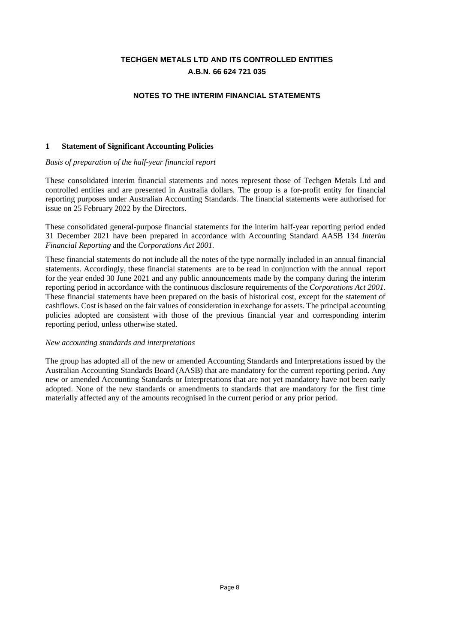### **NOTES TO THE INTERIM FINANCIAL STATEMENTS**

#### **1 Statement of Significant Accounting Policies**

#### *Basis of preparation of the half-year financial report*

These consolidated interim financial statements and notes represent those of Techgen Metals Ltd and controlled entities and are presented in Australia dollars. The group is a for-profit entity for financial reporting purposes under Australian Accounting Standards. The financial statements were authorised for issue on 25 February 2022 by the Directors.

These consolidated general-purpose financial statements for the interim half-year reporting period ended 31 December 2021 have been prepared in accordance with Accounting Standard AASB 134 *Interim Financial Reporting* and the *Corporations Act 2001.*

These financial statements do not include all the notes of the type normally included in an annual financial statements. Accordingly, these financial statements are to be read in conjunction with the annual report for the year ended 30 June 2021 and any public announcements made by the company during the interim reporting period in accordance with the continuous disclosure requirements of the *Corporations Act 2001*. These financial statements have been prepared on the basis of historical cost, except for the statement of cashflows. Cost is based on the fair values of consideration in exchange for assets. The principal accounting policies adopted are consistent with those of the previous financial year and corresponding interim reporting period, unless otherwise stated.

#### *New accounting standards and interpretations*

The group has adopted all of the new or amended Accounting Standards and Interpretations issued by the Australian Accounting Standards Board (AASB) that are mandatory for the current reporting period. Any new or amended Accounting Standards or Interpretations that are not yet mandatory have not been early adopted. None of the new standards or amendments to standards that are mandatory for the first time materially affected any of the amounts recognised in the current period or any prior period.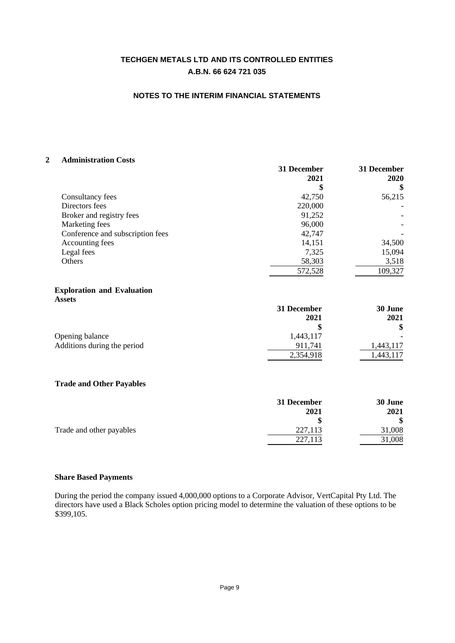### **NOTES TO THE INTERIM FINANCIAL STATEMENTS**

#### **2 Administration Costs**

|                                  | 31 December<br>2021 | 31 December<br>2020 |
|----------------------------------|---------------------|---------------------|
|                                  | S                   | S                   |
| Consultancy fees                 | 42,750              | 56,215              |
| Directors fees                   | 220,000             |                     |
| Broker and registry fees         | 91,252              |                     |
| Marketing fees                   | 96,000              |                     |
| Conference and subscription fees | 42,747              |                     |
| Accounting fees                  | 14,151              | 34,500              |
| Legal fees                       | 7,325               | 15,094              |
| Others                           | 58,303              | 3,518               |
|                                  | 572,528             | 109,327             |

#### **Exploration and Evaluation Assets**

|                             | 31 December | 30 June   |
|-----------------------------|-------------|-----------|
|                             | 2021        | 2021      |
|                             |             |           |
| Opening balance             | 1,443,117   |           |
| Additions during the period | 911.741     | 1,443,117 |
|                             | 2,354,918   | ,443,117  |

### **4 Trade and Other Payables**

|                          | 31 December | 30 June |
|--------------------------|-------------|---------|
|                          | 2021        | 2021    |
|                          | S           |         |
| Trade and other payables | 227,113     | 31,008  |
|                          | 227,113     | 31,008  |

#### **5 Share Based Payments**

During the period the company issued 4,000,000 options to a Corporate Advisor, VertCapital Pty Ltd. The directors have used a Black Scholes option pricing model to determine the valuation of these options to be \$399,105.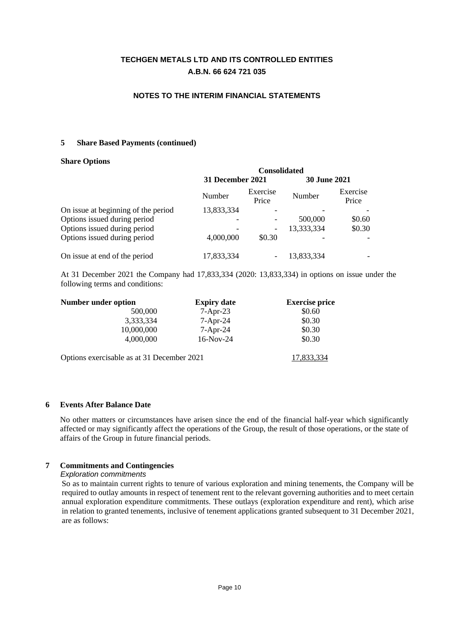### **NOTES TO THE INTERIM FINANCIAL STATEMENTS**

### **5 Share Based Payments (continued)**

#### **Share Options**

|                                     | <b>Consolidated</b>      |                   |                     |                   |
|-------------------------------------|--------------------------|-------------------|---------------------|-------------------|
|                                     | 31 December 2021         |                   | <b>30 June 2021</b> |                   |
|                                     | Number                   | Exercise<br>Price | Number              | Exercise<br>Price |
| On issue at beginning of the period | 13,833,334               |                   |                     |                   |
| Options issued during period        | $\overline{\phantom{0}}$ |                   | 500,000             | \$0.60            |
| Options issued during period        |                          |                   | 13,333,334          | \$0.30            |
| Options issued during period        | 4,000,000                | \$0.30            |                     |                   |
| On issue at end of the period       | 17,833,334               |                   | 13,833,334          |                   |

At 31 December 2021 the Company had 17,833,334 (2020: 13,833,334) in options on issue under the following terms and conditions:

| Number under option                        | <b>Expiry date</b> | <b>Exercise price</b> |
|--------------------------------------------|--------------------|-----------------------|
| 500,000                                    | $7-Apr-23$         | \$0.60                |
| 3,333,334                                  | $7-Apr-24$         | \$0.30                |
| 10,000,000                                 | $7-Apr-24$         | \$0.30                |
| 4,000,000                                  | $16-Nov-24$        | \$0.30                |
| Options exercisable as at 31 December 2021 |                    | 17,833,334            |

### **6 Events After Balance Date**

No other matters or circumstances have arisen since the end of the financial half-year which significantly affected or may significantly affect the operations of the Group, the result of those operations, or the state of affairs of the Group in future financial periods.

## **7 Commitments and Contingencies**

*Exploration commitments*

So as to maintain current rights to tenure of various exploration and mining tenements, the Company will be required to outlay amounts in respect of tenement rent to the relevant governing authorities and to meet certain annual exploration expenditure commitments. These outlays (exploration expenditure and rent), which arise in relation to granted tenements, inclusive of tenement applications granted subsequent to 31 December 2021, are as follows: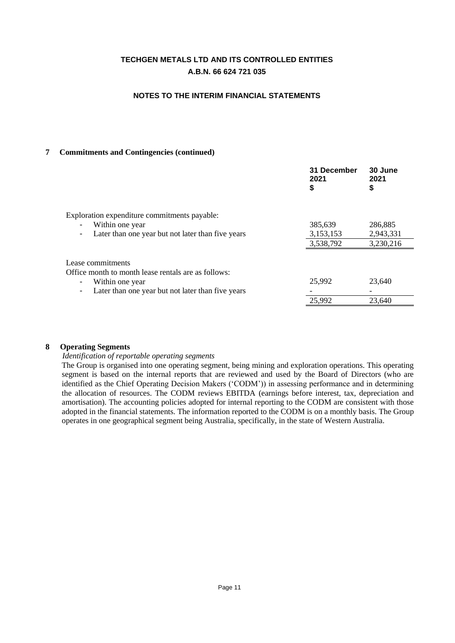### **NOTES TO THE INTERIM FINANCIAL STATEMENTS**

### **7 Commitments and Contingencies (continued)**

|                                                     | 31 December<br>2021<br>\$ | 30 June<br>2021<br>\$ |
|-----------------------------------------------------|---------------------------|-----------------------|
| Exploration expenditure commitments payable:        |                           |                       |
| Within one year                                     | 385,639                   | 286,885               |
| Later than one year but not later than five years   | 3,153,153                 | 2,943,331             |
|                                                     | 3,538,792                 | 3,230,216             |
| Lease commitments                                   |                           |                       |
| Office month to month lease rentals are as follows: |                           |                       |
| Within one year                                     | 25,992                    | 23,640                |
| Later than one year but not later than five years   |                           |                       |
|                                                     | 25,992                    | 23.640                |

### **8 Operating Segments**

#### *Identification of reportable operating segments*

The Group is organised into one operating segment, being mining and exploration operations. This operating segment is based on the internal reports that are reviewed and used by the Board of Directors (who are identified as the Chief Operating Decision Makers ('CODM')) in assessing performance and in determining the allocation of resources. The CODM reviews EBITDA (earnings before interest, tax, depreciation and amortisation). The accounting policies adopted for internal reporting to the CODM are consistent with those adopted in the financial statements. The information reported to the CODM is on a monthly basis. The Group operates in one geographical segment being Australia, specifically, in the state of Western Australia.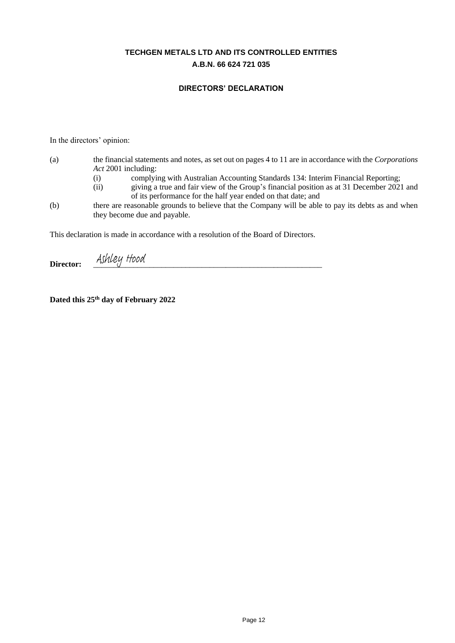### **DIRECTORS' DECLARATION**

In the directors' opinion:

- (a) the financial statements and notes, as set out on pages 4 to 11 are in accordance with the *Corporations Act* 2001 including:
	- (i) complying with Australian Accounting Standards 134: Interim Financial Reporting;
	- (ii) giving a true and fair view of the Group's financial position as at 31 December 2021 and of its performance for the half year ended on that date; and
- (b) there are reasonable grounds to believe that the Company will be able to pay its debts as and when they become due and payable.

This declaration is made in accordance with a resolution of the Board of Directors.

Director: Ashley Hood

**Dated this 25th day of February 2022**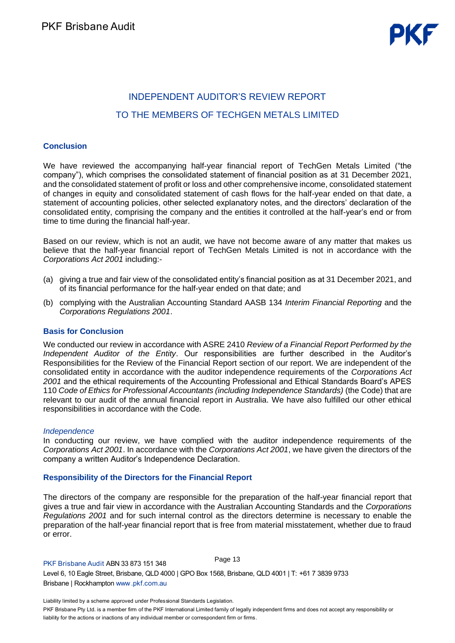# **INDEPENDENT AUDITOR'S REVIEW REPORT** TO THE MEMBERS OF TECHGEN METALS LIMITED

### **Conclusion**

We have reviewed the accompanying half-year financial report of TechGen Metals Limited ("the company"), which comprises the consolidated statement of financial position as at 31 December 2021, and the consolidated statement of profit or loss and other comprehensive income, consolidated statement of changes in equity and consolidated statement of cash flows for the half-year ended on that date, a statement of accounting policies, other selected explanatory notes, and the directors' declaration of the consolidated entity, comprising the company and the entities it controlled at the half-year's end or from time to time during the financial half-year.

Based on our review, which is not an audit, we have not become aware of any matter that makes us believe that the half-year financial report of TechGen Metals Limited is not in accordance with the *Corporations Act 2001* including:-

- (a) giving a true and fair view of the consolidated entity's financial position as at 31 December 2021, and of its financial performance for the half-year ended on that date; and
- (b) complying with the Australian Accounting Standard AASB 134 *Interim Financial Reporting* and the *Corporations Regulations 2001*.

### **Basis for Conclusion**

We conducted our review in accordance with ASRE 2410 *Review of a Financial Report Performed by the Independent Auditor of the Entity*. Our responsibilities are further described in the Auditor's Responsibilities for the Review of the Financial Report section of our report. We are independent of the consolidated entity in accordance with the auditor independence requirements of the *Corporations Act*  2001 and the ethical requirements of the Accounting Professional and Ethical Standards Board's APES 110 *Code of Ethics for Professional Accountants (including Independence Standards)* (the Code) that are relevant to our audit of the annual financial report in Australia. We have also fulfilled our other ethical responsibilities in accordance with the Code.

#### *Independence*

In conducting our review, we have complied with the auditor independence requirements of the *Corporations Act 2001*. In accordance with the *Corporations Act 2001*, we have given the directors of the company a written Auditor's Independence Declaration.

### **Responsibility of the Directors for the Financial Report**

The directors of the company are responsible for the preparation of the half-year financial report that gives a true and fair view in accordance with the Australian Accounting Standards and the *Corporations Regulations 2001* and for such internal control as the directors determine is necessary to enable the preparation of the half-year financial report that is free from material misstatement, whether due to fraud or error.

P L B Page 13

L

P liability for the actions or inactions of any individual member or correspondent firm or firms.